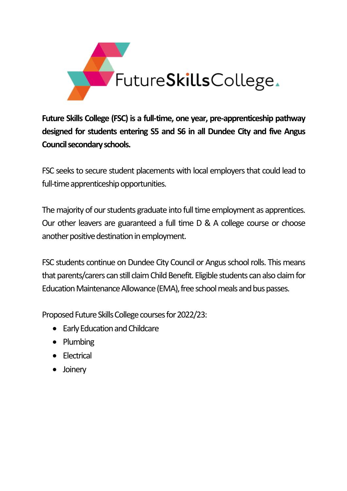

**Future Skills College (FSC) is a full-time, one year, pre-apprenticeship pathway designed for students entering S5 and S6 in all Dundee City and five Angus Council secondary schools.**

FSC seeks to secure student placements with local employers that could lead to full-time apprenticeship opportunities.

The majority of our students graduate into full time employment as apprentices. Our other leavers are guaranteed a full time D & A college course or choose another positive destination in employment.

FSC students continue on Dundee City Council or Angus school rolls. This means that parents/carers can still claim Child Benefit. Eligible students can alsoclaim for Education Maintenance Allowance (EMA), free school meals and bus passes.

Proposed Future Skills College courses for 2022/23:

- Early Education and Childcare
- Plumbing
- Electrical
- Joinery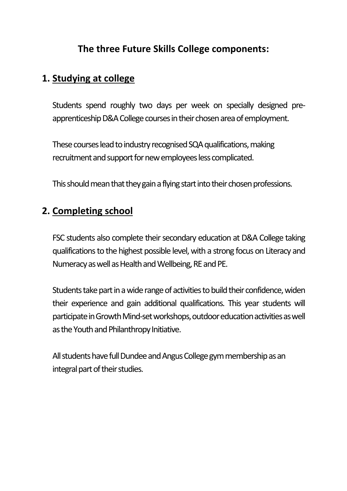## **The three Future Skills College components:**

## **1. Studying at college**

Students spend roughly two days per week on specially designed preapprenticeship D&A College courses in their chosen area of employment.

These courses lead to industry recognised SQA qualifications, making recruitment and support for new employees less complicated.

This should mean that they gain a flying start into their chosen professions.

## **2. Completing school**

FSC students also complete their secondary education at D&A College taking qualifications to the highest possible level, with a strong focus on Literacy and Numeracyas well as Health and Wellbeing, RE and PE.

Students take part in a wide range of activities to build their confidence, widen their experience and gain additional qualifications. This year students will participate in Growth Mind-set workshops, outdoor education activities as well as the Youth and Philanthropy Initiative.

All students have full Dundee and Angus College gym membership as an integral part of their studies.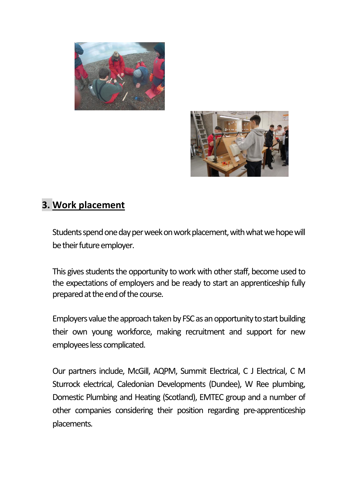



## **3. Work placement**

Students spend one day per week on work placement, with what we hope will be their future employer.

This gives students the opportunity to work with other staff, become used to the expectations of employers and be ready to start an apprenticeship fully prepared at the end of the course.

Employers value the approach taken by FSC as an opportunity to start building their own young workforce, making recruitment and support for new employees less complicated.

Our partners include, McGill, AQPM, Summit Electrical, C J Electrical, C M Sturrock electrical, Caledonian Developments (Dundee), W Ree plumbing, Domestic Plumbing and Heating (Scotland), EMTEC group and a number of other companies considering their position regarding pre-apprenticeship placements.